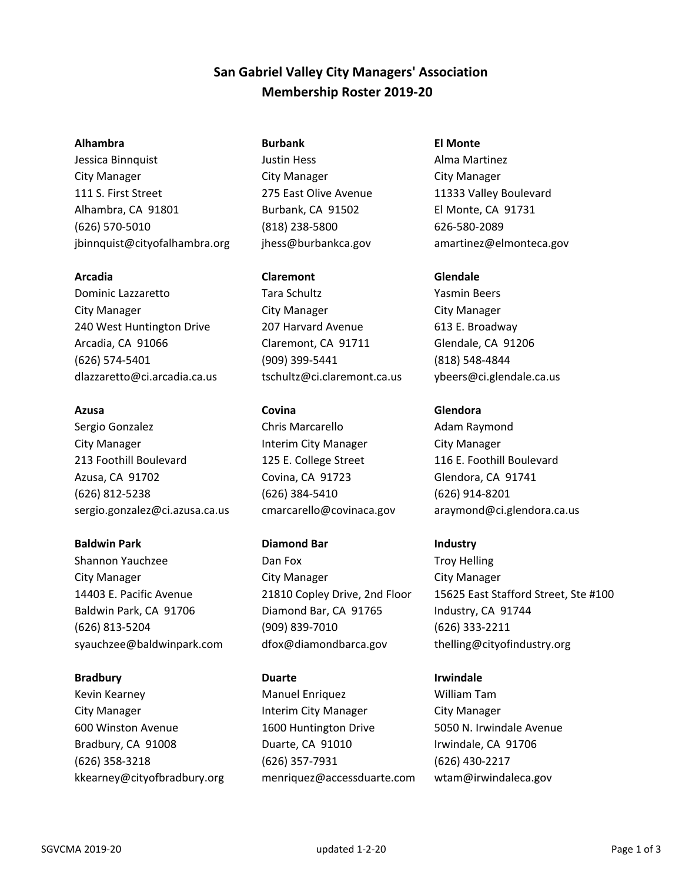# **San Gabriel Valley City Managers' Association Membership Roster 2019‐20**

## **Alhambra Burbank El Monte**

Jessica Binnquist **Justin Hess** Alma Martinez City Manager City Manager City Manager 111 S. First Street 275 East Olive Avenue 11333 Valley Boulevard Alhambra, CA 91801 Burbank, CA 91502 El Monte, CA 91731 (626) 570‐5010 (818) 238‐5800 626‐580‐2089 jbinnquist@cityofalhambra.org jhess@burbankca.gov amartinez@elmonteca.gov

Dominic Lazzaretto Tara Schultz Yasmin Beers City Manager City Manager City Manager 240 West Huntington Drive 207 Harvard Avenue 613 E. Broadway Arcadia, CA 91066 Claremont, CA 91711 Glendale, CA 91206 (626) 574‐5401 (909) 399‐5441 (818) 548‐4844

Sergio Gonzalez **Chris Marcarello** Adam Raymond City Manager Interim City Manager City Manager 213 Foothill Boulevard 125 E. College Street 116 E. Foothill Boulevard Azusa, CA 91702 Covina, CA 91723 Glendora, CA 91741 (626) 812‐5238 (626) 384‐5410 (626) 914‐8201 sergio.gonzalez@ci.azusa.ca.us cmarcarello@covinaca.gov araymond@ci.glendora.ca.us

# **Baldwin Park Communist Communist Communist Communist Diamond Bar Industry**

Shannon Yauchzee **Dan Fox** Dan Fox Troy Helling City Manager City Manager City Manager Baldwin Park, CA 91706 **Diamond Bar, CA 91765** Industry, CA 91744 (626) 813‐5204 (909) 839‐7010 (626) 333‐2211 syauchzee@baldwinpark.com dfox@diamondbarca.gov thelling@cityofindustry.org

# **Arcadia Claremont Glendale**

dlazzaretto@ci.arcadia.ca.us tschultz@ci.claremont.ca.us ybeers@ci.glendale.ca.us

Kevin Kearney Manuel Enriquez William Tam City Manager Interim City Manager City Manager 600 Winston Avenue 1600 Huntington Drive 5050 N. Irwindale Avenue Bradbury, CA 91008 **Duarte, CA 91010** Irwindale, CA 91706 (626) 358‐3218 (626) 357‐7931 (626) 430‐2217 kkearney@cityofbradbury.org menriquez@accessduarte.com wtam@irwindaleca.gov

# **Azusa Covina Glendora**

14403 E. Pacific Avenue 21810 Copley Drive, 2nd Floor 15625 East Stafford Street, Ste #100

# **Bradbury Communist Communist Communist Communist Communist Communist Communist Communist Communist Communist Communist Communist Communist Communist Communist Communist Communist Communist Communist Communist Communist Co**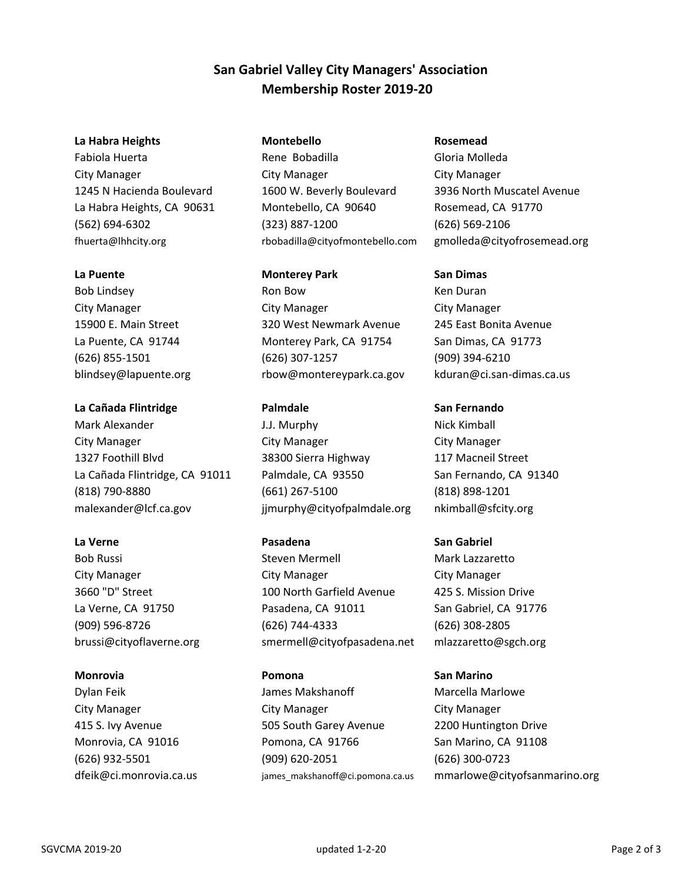# **San Gabriel Valley City Managers' Association Membership Roster 2019‐20**

## **La Habra Heights Montebello Rosemead**

Bob Lindsey **Ron Bow Ron Bow Ken Duran** 

## **La Cañada Flintridge Palmdale San Fernando**

Mark Alexander The Music Communist Communist Communist Communist Communist Communist Communist Communist Communist Communist Communist Communist Communist Communist Communist Communist Communist Communist Communist Communi City Manager City Manager City Manager 1327 Foothill Blvd 38300 Sierra Highway 117 Macneil Street La Cañada Flintridge, CA 91011 Palmdale, CA 93550 San Fernando, CA 91340 (818) 790‐8880 (661) 267‐5100 (818) 898‐1201 malexander@lcf.ca.gov jjmurphy@cityofpalmdale.org nkimball@sfcity.org

Fabiola Huerta Rene Bobadilla Gloria Molleda City Manager City Manager City Manager 1245 N Hacienda Boulevard 1600 W. Beverly Boulevard 3936 North Muscatel Avenue La Habra Heights, CA 90631 Montebello, CA 90640 Rosemead, CA 91770 (562) 694‐6302 (323) 887‐1200 (626) 569‐2106 fhuerta@lhhcity.org rbobadilla@cityofmontebello.com gmolleda@cityofrosemead.org

# **La Puente Calculate Contract Contract Park Contract Contract Contract Contract Contract Contract Contract Contract Contract Contract Contract Contract Contract Contract Contract Contract Contract Contract Contract Contr**

City Manager City Manager City Manager 15900 E. Main Street 320 West Newmark Avenue 245 East Bonita Avenue La Puente, CA 91744 Monterey Park, CA 91754 San Dimas, CA 91773 (626) 855‐1501 (626) 307‐1257 (909) 394‐6210 blindsey@lapuente.org rbow@montereypark.ca.gov kduran@ci.san‐dimas.ca.us

Bob Russi **Steven Mermell** Mark Lazzaretto City Manager City Manager City Manager 3660 "D" Street 100 North Garfield Avenue 425 S. Mission Drive La Verne, CA 91750 Pasadena, CA 91011 San Gabriel, CA 91776 (909) 596‐8726 (626) 744‐4333 (626) 308‐2805 brussi@cityoflaverne.org smermell@cityofpasadena.net mlazzaretto@sgch.org

Dylan Feik James Makshanoff Marcella Marlowe City Manager City Manager City Manager 415 S. Ivy Avenue 505 South Garey Avenue 2200 Huntington Drive Monrovia, CA 91016 Pomona, CA 91766 San Marino, CA 91108 (626) 932‐5501 (909) 620‐2051 (626) 300‐0723

# **La Verne** San Gabriel

## **Monrovia Pomona San Marino**

dfeik@ci.monrovia.ca.us james makshanoff@ci.pomona.ca.us mmarlowe@cityofsanmarino.org